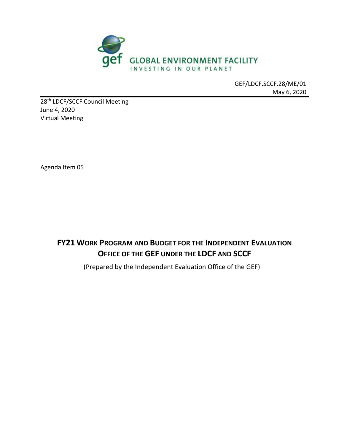

GEF/LDCF.SCCF.28/ME/01 May 6, 2020

28<sup>th</sup> LDCF/SCCF Council Meeting June 4, 2020 Virtual Meeting

Agenda Item 05

**FY21 WORK PROGRAM AND BUDGET FOR THE INDEPENDENT EVALUATION OFFICE OF THE GEF UNDER THE LDCF AND SCCF**

(Prepared by the Independent Evaluation Office of the GEF)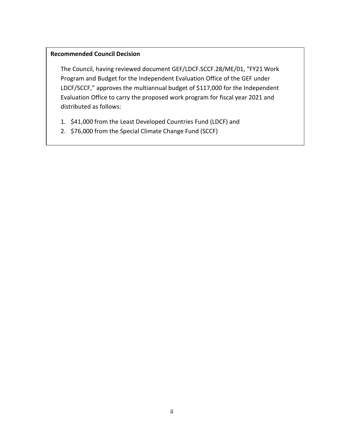## **Recommended Council Decision**

The Council, having reviewed document GEF/LDCF.SCCF.28/ME/01, "FY21 Work Program and Budget for the Independent Evaluation Office of the GEF under LDCF/SCCF," approves the multiannual budget of \$117,000 for the Independent Evaluation Office to carry the proposed work program for fiscal year 2021 and distributed as follows:

- 1. \$41,000 from the Least Developed Countries Fund (LDCF) and
- 2. \$76,000 from the Special Climate Change Fund (SCCF)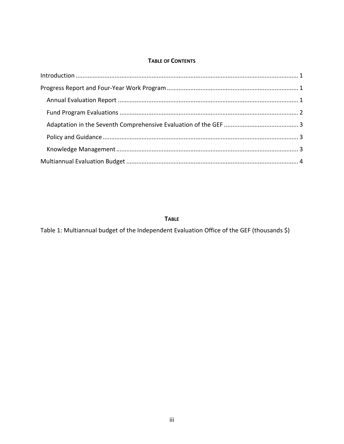## **TABLE OF CONTENTS**

# **TABLE**

Table 1: Multiannual budget of the Independent Evaluation Office of the GEF (thousands \$)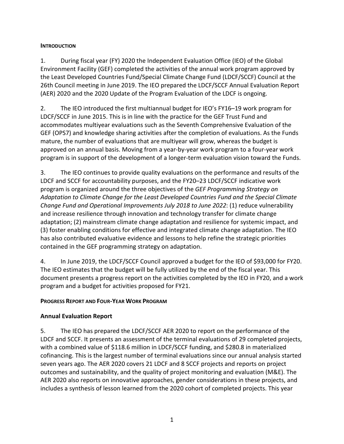## <span id="page-3-0"></span>**INTRODUCTION**

1. During fiscal year (FY) 2020 the Independent Evaluation Office (IEO) of the Global Environment Facility (GEF) completed the activities of the annual work program approved by the Least Developed Countries Fund/Special Climate Change Fund (LDCF/SCCF) Council at the 26th Council meeting in June 2019. The IEO prepared the LDCF/SCCF Annual Evaluation Report (AER) 2020 and the 2020 Update of the Program Evaluation of the LDCF is ongoing.

2. The IEO introduced the first multiannual budget for IEO's FY16–19 work program for LDCF/SCCF in June 2015. This is in line with the practice for the GEF Trust Fund and accommodates multiyear evaluations such as the Seventh Comprehensive Evaluation of the GEF (OPS7) and knowledge sharing activities after the completion of evaluations. As the Funds mature, the number of evaluations that are multiyear will grow, whereas the budget is approved on an annual basis. Moving from a year-by-year work program to a four-year work program is in support of the development of a longer-term evaluation vision toward the Funds.

3. The IEO continues to provide quality evaluations on the performance and results of the LDCF and SCCF for accountability purposes, and the FY20–23 LDCF/SCCF indicative work program is organized around the three objectives of the *GEF Programming Strategy on Adaptation to Climate Change for the Least Developed Countries Fund and the Special Climate Change Fund and Operational Improvements July 2018 to June 2022*: (1) reduce vulnerability and increase resilience through innovation and technology transfer for climate change adaptation; (2) mainstream climate change adaptation and resilience for systemic impact, and (3) foster enabling conditions for effective and integrated climate change adaptation. The IEO has also contributed evaluative evidence and lessons to help refine the strategic priorities contained in the GEF programming strategy on adaptation.

4. In June 2019, the LDCF/SCCF Council approved a budget for the IEO of \$93,000 for FY20. The IEO estimates that the budget will be fully utilized by the end of the fiscal year. This document presents a progress report on the activities completed by the IEO in FY20, and a work program and a budget for activities proposed for FY21.

#### <span id="page-3-1"></span>**PROGRESS REPORT AND FOUR-YEAR WORK PROGRAM**

## <span id="page-3-2"></span>**Annual Evaluation Report**

5. The IEO has prepared the LDCF/SCCF AER 2020 to report on the performance of the LDCF and SCCF. It presents an assessment of the terminal evaluations of 29 completed projects, with a combined value of \$118.6 million in LDCF/SCCF funding, and \$280.8 in materialized cofinancing. This is the largest number of terminal evaluations since our annual analysis started seven years ago. The AER 2020 covers 21 LDCF and 8 SCCF projects and reports on project outcomes and sustainability, and the quality of project monitoring and evaluation (M&E). The AER 2020 also reports on innovative approaches, gender considerations in these projects, and includes a synthesis of lesson learned from the 2020 cohort of completed projects. This year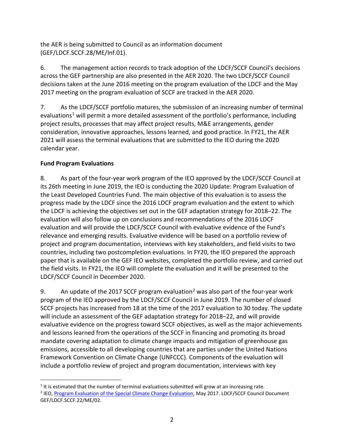the AER is being submitted to Council as an information document (GEF/LDCF.SCCF.28/ME/Inf.01).

6. The management action records to track adoption of the LDCF/SCCF Council's decisions across the GEF partnership are also presented in the AER 2020. The two LDCF/SCCF Council decisions taken at the June 2016 meeting on the program evaluation of the LDCF and the May 2017 meeting on the program evaluation of SCCF are tracked in the AER 2020.

7. As the LDCF/SCCF portfolio matures, the submission of an increasing number of terminal evaluations<sup>[1](#page-4-1)</sup> will permit a more detailed assessment of the portfolio's performance, including project results, processes that may affect project results, M&E arrangements, gender consideration, innovative approaches, lessons learned, and good practice. In FY21, the AER 2021 will assess the terminal evaluations that are submitted to the IEO during the 2020 calendar year.

# <span id="page-4-0"></span>**Fund Program Evaluations**

8. As part of the four-year work program of the IEO approved by the LDCF/SCCF Council at its 26th meeting in June 2019, the IEO is conducting the 2020 Update: Program Evaluation of the Least Developed Countries Fund. The main objective of this evaluation is to assess the progress made by the LDCF since the 2016 LDCF program evaluation and the extent to which the LDCF is achieving the objectives set out in the GEF adaptation strategy for 2018–22. The evaluation will also follow up on conclusions and recommendations of the 2016 LDCF evaluation and will provide the LDCF/SCCF Council with evaluative evidence of the Fund's relevance and emerging results. Evaluative evidence will be based on a portfolio review of project and program documentation, interviews with key stakeholders, and field visits to two countries, including two postcompletion evaluations. In FY20, the IEO prepared the approach paper that is available on the GEF IEO websites, completed the portfolio review, and carried out the field visits. In FY21, the IEO will complete the evaluation and it will be presented to the LDCF/SCCF Council in December 2020.

9. An update of the [2](#page-4-2)017 SCCF program evaluation<sup>2</sup> was also part of the four-year work program of the IEO approved by the LDCF/SCCF Council in June 2019. The number of closed SCCF projects has increased from 18 at the time of the 2017 evaluation to 30 today. The update will include an assessment of the GEF adaptation strategy for 2018–22, and will provide evaluative evidence on the progress toward SCCF objectives, as well as the major achievements and lessons learned from the operations of the SCCF in financing and promoting its broad mandate covering adaptation to climate change impacts and mitigation of greenhouse gas emissions, accessible to all developing countries that are parties under the United Nations Framework Convention on Climate Change (UNFCCC). Components of the evaluation will include a portfolio review of project and program documentation, interviews with key

<span id="page-4-1"></span> $1$  It is estimated that the number of terminal evaluations submitted will grow at an increasing rate.

<span id="page-4-2"></span><sup>&</sup>lt;sup>2</sup> IEO[, Program Evaluation of the Special Climate Change Evaluation,](http://www.thegef.org/council-meeting-documents/program-evaluation-special-climate-change-fund) May 2017. LDCF/SCCF Council Document GEF/LDCF.SCCF.22/ME/02.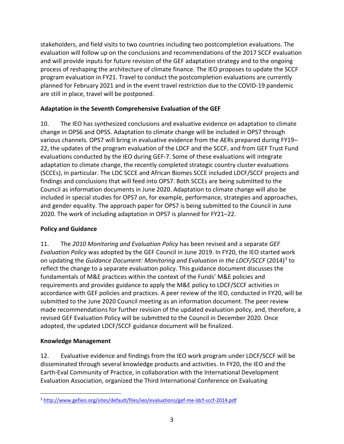stakeholders, and field visits to two countries including two postcompletion evaluations. The evaluation will follow up on the conclusions and recommendations of the 2017 SCCF evaluation and will provide inputs for future revision of the GEF adaptation strategy and to the ongoing process of reshaping the architecture of climate finance. The IEO proposes to update the SCCF program evaluation in FY21. Travel to conduct the postcompletion evaluations are currently planned for February 2021 and in the event travel restriction due to the COVID-19 pandemic are still in place, travel will be postponed.

# <span id="page-5-0"></span>**Adaptation in the Seventh Comprehensive Evaluation of the GEF**

10. The IEO has synthesized conclusions and evaluative evidence on adaptation to climate change in OPS6 and OPS5. Adaptation to climate change will be included in OPS7 through various channels. OPS7 will bring in evaluative evidence from the AERs prepared during FY19– 22, the updates of the program evaluation of the LDCF and the SCCF, and from GEF Trust Fund evaluations conducted by the IEO during GEF-7. Some of these evaluations will integrate adaptation to climate change, the recently completed strategic country cluster evaluations (SCCEs), in particular. The LDC SCCE and African Biomes SCCE included LDCF/SCCF projects and findings and conclusions that will feed into OPS7. Both SCCEs are being submitted to the Council as information documents in June 2020. Adaptation to climate change will also be included in special studies for OPS7 on, for example, performance, strategies and approaches, and gender equality. The approach paper for OPS7 is being submitted to the Council in June 2020. The work of including adaptation in OPS7 is planned for FY21–22.

## <span id="page-5-1"></span>**Policy and Guidance**

11. The *2010 Monitoring and Evaluation Policy* has been revised and a separate *GEF Evaluation Policy* was adopted by the GEF Council in June 2019. In FY20, the IEO started work on updating the *Guidance Document: Monitoring and Evaluation in the LDCF/SCCF* (2014)[3](#page-5-3) to reflect the change to a separate evaluation policy. This guidance document discusses the fundamentals of M&E practices within the context of the Funds' M&E policies and requirements and provides guidance to apply the M&E policy to LDCF/SCCF activities in accordance with GEF policies and practices. A peer review of the IEO, conducted in FY20, will be submitted to the June 2020 Council meeting as an information document. The peer review made recommendations for further revision of the updated evaluation policy, and, therefore, a revised GEF Evaluation Policy will be submitted to the Council in December 2020. Once adopted, the updated LDCF/SCCF guidance document will be finalized.

## <span id="page-5-2"></span>**Knowledge Management**

12. Evaluative evidence and findings from the IEO work program under LDCF/SCCF will be disseminated through several knowledge products and activities. In FY20, the IEO and the Earth-Eval Community of Practice, in collaboration with the International Development Evaluation Association, organized the Third International Conference on Evaluating

<span id="page-5-3"></span><sup>3</sup> <http://www.gefieo.org/sites/default/files/ieo/evaluations/gef-me-ldcf-sccf-2014.pdf>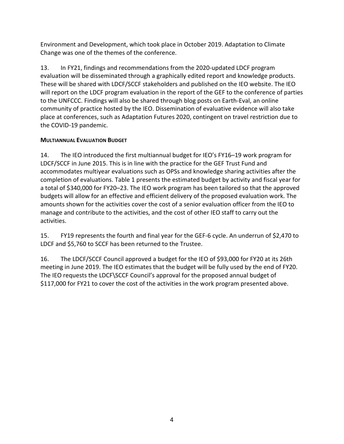Environment and Development, which took place in October 2019. Adaptation to Climate Change was one of the themes of the conference.

13. In FY21, findings and recommendations from the 2020-updated LDCF program evaluation will be disseminated through a graphically edited report and knowledge products. These will be shared with LDCF/SCCF stakeholders and published on the IEO website. The IEO will report on the LDCF program evaluation in the report of the GEF to the conference of parties to the UNFCCC. Findings will also be shared through blog posts on Earth-Eval, an online community of practice hosted by the IEO. Dissemination of evaluative evidence will also take place at conferences, such as Adaptation Futures 2020, contingent on travel restriction due to the COVID-19 pandemic.

## <span id="page-6-0"></span>**MULTIANNUAL EVALUATION BUDGET**

14. The IEO introduced the first multiannual budget for IEO's FY16–19 work program for LDCF/SCCF in June 2015. This is in line with the practice for the GEF Trust Fund and accommodates multiyear evaluations such as OPSs and knowledge sharing activities after the completion of evaluations. Table 1 presents the estimated budget by activity and fiscal year for a total of \$340,000 for FY20–23. The IEO work program has been tailored so that the approved budgets will allow for an effective and efficient delivery of the proposed evaluation work. The amounts shown for the activities cover the cost of a senior evaluation officer from the IEO to manage and contribute to the activities, and the cost of other IEO staff to carry out the activities.

15. FY19 represents the fourth and final year for the GEF-6 cycle. An underrun of \$2,470 to LDCF and \$5,760 to SCCF has been returned to the Trustee.

16. The LDCF/SCCF Council approved a budget for the IEO of \$93,000 for FY20 at its 26th meeting in June 2019. The IEO estimates that the budget will be fully used by the end of FY20. The IEO requests the LDCF\SCCF Council's approval for the proposed annual budget of \$117,000 for FY21 to cover the cost of the activities in the work program presented above.